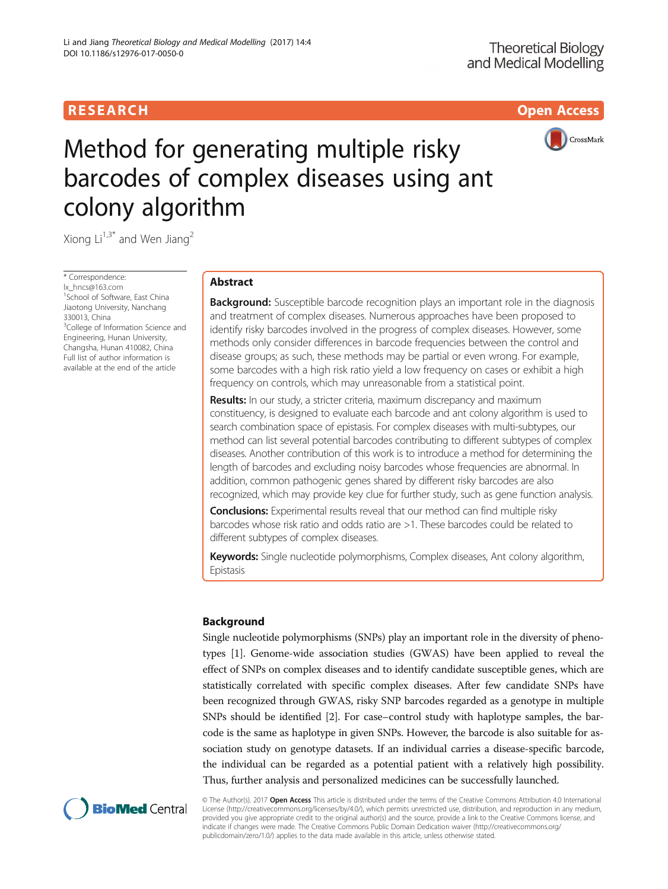### R E S EAR CH Open Access



# Method for generating multiple risky barcodes of complex diseases using ant colony algorithm

Xiong  $Li^{1,3*}$  and Wen Jiang<sup>2</sup>

\* Correspondence:

[lx\\_hncs@163.com](mailto:lx_hncs@163.com) <sup>1</sup> School of Software, East China Jiaotong University, Nanchang 330013, China <sup>3</sup>College of Information Science and Engineering, Hunan University, Changsha, Hunan 410082, China Full list of author information is available at the end of the article

#### Abstract

**Background:** Susceptible barcode recognition plays an important role in the diagnosis and treatment of complex diseases. Numerous approaches have been proposed to identify risky barcodes involved in the progress of complex diseases. However, some methods only consider differences in barcode frequencies between the control and disease groups; as such, these methods may be partial or even wrong. For example, some barcodes with a high risk ratio yield a low frequency on cases or exhibit a high frequency on controls, which may unreasonable from a statistical point.

**Results:** In our study, a stricter criteria, maximum discrepancy and maximum constituency, is designed to evaluate each barcode and ant colony algorithm is used to search combination space of epistasis. For complex diseases with multi-subtypes, our method can list several potential barcodes contributing to different subtypes of complex diseases. Another contribution of this work is to introduce a method for determining the length of barcodes and excluding noisy barcodes whose frequencies are abnormal. In addition, common pathogenic genes shared by different risky barcodes are also recognized, which may provide key clue for further study, such as gene function analysis.

**Conclusions:** Experimental results reveal that our method can find multiple risky barcodes whose risk ratio and odds ratio are >1. These barcodes could be related to different subtypes of complex diseases.

Keywords: Single nucleotide polymorphisms, Complex diseases, Ant colony algorithm, Epistasis

#### Background

Single nucleotide polymorphisms (SNPs) play an important role in the diversity of phenotypes [\[1\]](#page-11-0). Genome-wide association studies (GWAS) have been applied to reveal the effect of SNPs on complex diseases and to identify candidate susceptible genes, which are statistically correlated with specific complex diseases. After few candidate SNPs have been recognized through GWAS, risky SNP barcodes regarded as a genotype in multiple SNPs should be identified [\[2](#page-11-0)]. For case–control study with haplotype samples, the barcode is the same as haplotype in given SNPs. However, the barcode is also suitable for association study on genotype datasets. If an individual carries a disease-specific barcode, the individual can be regarded as a potential patient with a relatively high possibility. Thus, further analysis and personalized medicines can be successfully launched.



© The Author(s). 2017 Open Access This article is distributed under the terms of the Creative Commons Attribution 4.0 International License ([http://creativecommons.org/licenses/by/4.0/\)](http://creativecommons.org/licenses/by/4.0/), which permits unrestricted use, distribution, and reproduction in any medium, provided you give appropriate credit to the original author(s) and the source, provide a link to the Creative Commons license, and indicate if changes were made. The Creative Commons Public Domain Dedication waiver ([http://creativecommons.org/](http://creativecommons.org/publicdomain/zero/1.0/) [publicdomain/zero/1.0/\)](http://creativecommons.org/publicdomain/zero/1.0/) applies to the data made available in this article, unless otherwise stated.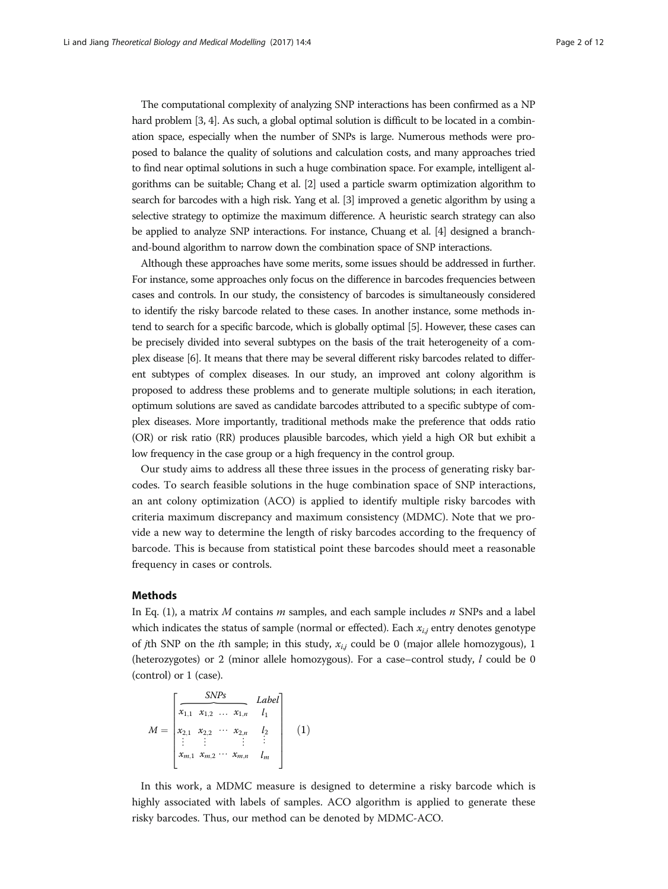The computational complexity of analyzing SNP interactions has been confirmed as a NP hard problem [[3](#page-11-0), [4\]](#page-11-0). As such, a global optimal solution is difficult to be located in a combination space, especially when the number of SNPs is large. Numerous methods were proposed to balance the quality of solutions and calculation costs, and many approaches tried to find near optimal solutions in such a huge combination space. For example, intelligent algorithms can be suitable; Chang et al. [\[2\]](#page-11-0) used a particle swarm optimization algorithm to search for barcodes with a high risk. Yang et al. [[3](#page-11-0)] improved a genetic algorithm by using a selective strategy to optimize the maximum difference. A heuristic search strategy can also be applied to analyze SNP interactions. For instance, Chuang et al. [[4](#page-11-0)] designed a branchand-bound algorithm to narrow down the combination space of SNP interactions.

Although these approaches have some merits, some issues should be addressed in further. For instance, some approaches only focus on the difference in barcodes frequencies between cases and controls. In our study, the consistency of barcodes is simultaneously considered to identify the risky barcode related to these cases. In another instance, some methods intend to search for a specific barcode, which is globally optimal [[5](#page-11-0)]. However, these cases can be precisely divided into several subtypes on the basis of the trait heterogeneity of a complex disease [[6](#page-11-0)]. It means that there may be several different risky barcodes related to different subtypes of complex diseases. In our study, an improved ant colony algorithm is proposed to address these problems and to generate multiple solutions; in each iteration, optimum solutions are saved as candidate barcodes attributed to a specific subtype of complex diseases. More importantly, traditional methods make the preference that odds ratio (OR) or risk ratio (RR) produces plausible barcodes, which yield a high OR but exhibit a low frequency in the case group or a high frequency in the control group.

Our study aims to address all these three issues in the process of generating risky barcodes. To search feasible solutions in the huge combination space of SNP interactions, an ant colony optimization (ACO) is applied to identify multiple risky barcodes with criteria maximum discrepancy and maximum consistency (MDMC). Note that we provide a new way to determine the length of risky barcodes according to the frequency of barcode. This is because from statistical point these barcodes should meet a reasonable frequency in cases or controls.

#### **Methods**

In Eq. (1), a matrix  $M$  contains  $m$  samples, and each sample includes  $n$  SNPs and a label which indicates the status of sample (normal or effected). Each  $x_{i,j}$  entry denotes genotype of *j*th SNP on the *i*th sample; in this study,  $x_{i,j}$  could be 0 (major allele homozygous), 1 (heterozygotes) or 2 (minor allele homozygous). For a case–control study, l could be 0 ⏞ (control) or 1 (case).

$$
M = \begin{bmatrix} \text{SNPs} & \text{Label} \\ \overline{x_{1,1} & x_{1,2} & \cdots & x_{1,n} & l_1} \\ x_{2,1} & x_{2,2} & \cdots & x_{2,n} & l_2 \\ \vdots & \vdots & \vdots & \vdots & \vdots \\ x_{m,1} & x_{m,2} & \cdots & x_{m,n} & l_m \end{bmatrix} \quad (1)
$$

In this work, a MDMC measure is designed to determine a risky barcode which is highly associated with labels of samples. ACO algorithm is applied to generate these risky barcodes. Thus, our method can be denoted by MDMC-ACO.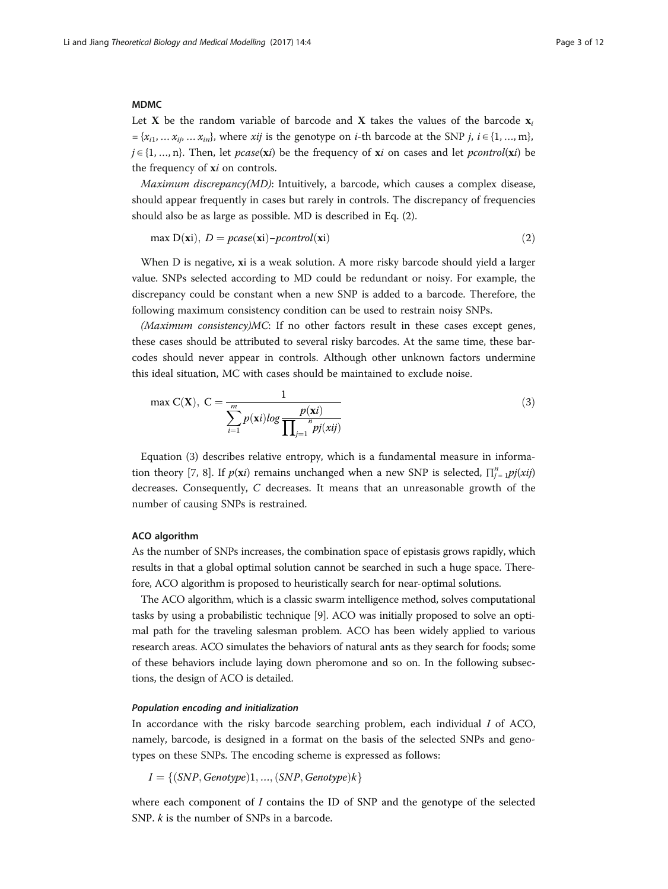#### MDMC

Let X be the random variable of barcode and X takes the values of the barcode  $x_i$  $=\{x_{i1},\ldots,x_{ij},\ldots,x_{in}\}\$ , where xij is the genotype on *i*-th barcode at the SNP j,  $i \in \{1,\ldots,m\}\$ ,  $j \in \{1, ..., n\}$ . Then, let *pcase*(xi) be the frequency of xi on cases and let *pcontrol*(xi) be the frequency of xi on controls.

Maximum discrepancy(MD): Intuitively, a barcode, which causes a complex disease, should appear frequently in cases but rarely in controls. The discrepancy of frequencies should also be as large as possible. MD is described in Eq. (2).

max  $D(xi)$ ,  $D = pcase(xi) - pcontrol(xi)$  (2)

When D is negative, xi is a weak solution. A more risky barcode should yield a larger value. SNPs selected according to MD could be redundant or noisy. For example, the discrepancy could be constant when a new SNP is added to a barcode. Therefore, the following maximum consistency condition can be used to restrain noisy SNPs.

 $(Maximum\ consistency)MC$ : If no other factors result in these cases except genes, these cases should be attributed to several risky barcodes. At the same time, these barcodes should never appear in controls. Although other unknown factors undermine this ideal situation, MC with cases should be maintained to exclude noise.

$$
\max C(\mathbf{X}), \ C = \frac{1}{\sum_{i=1}^{m} p(\mathbf{x}i) \log \frac{p(\mathbf{x}i)}{\prod_{j=1}^{n} p(jxij)}}
$$
(3)

Equation (3) describes relative entropy, which is a fundamental measure in informa-tion theory [\[7](#page-11-0), [8\]](#page-11-0). If  $p(xi)$  remains unchanged when a new SNP is selected,  $\prod_{j=1}^{n} p_j(xij)$ decreases. Consequently, C decreases. It means that an unreasonable growth of the number of causing SNPs is restrained.

#### ACO algorithm

As the number of SNPs increases, the combination space of epistasis grows rapidly, which results in that a global optimal solution cannot be searched in such a huge space. Therefore, ACO algorithm is proposed to heuristically search for near-optimal solutions.

The ACO algorithm, which is a classic swarm intelligence method, solves computational tasks by using a probabilistic technique [\[9](#page-11-0)]. ACO was initially proposed to solve an optimal path for the traveling salesman problem. ACO has been widely applied to various research areas. ACO simulates the behaviors of natural ants as they search for foods; some of these behaviors include laying down pheromone and so on. In the following subsections, the design of ACO is detailed.

#### Population encoding and initialization

In accordance with the risky barcode searching problem, each individual  $I$  of ACO, namely, barcode, is designed in a format on the basis of the selected SNPs and genotypes on these SNPs. The encoding scheme is expressed as follows:

$$
I = \{(SNP, Genotype)1, ..., (SNP, Genotype)k\}
$$

where each component of I contains the ID of SNP and the genotype of the selected SNP. *k* is the number of SNPs in a barcode.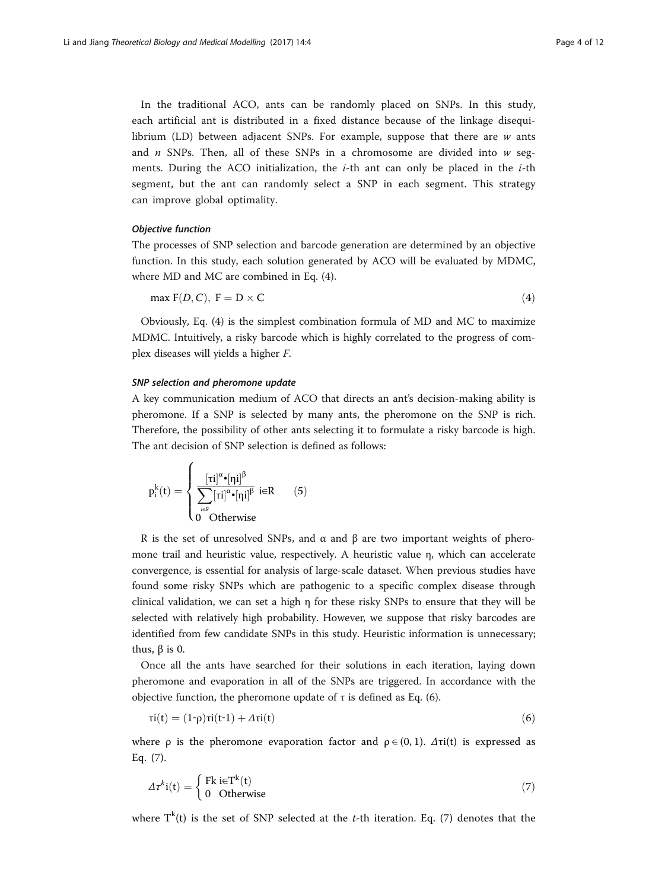In the traditional ACO, ants can be randomly placed on SNPs. In this study, each artificial ant is distributed in a fixed distance because of the linkage disequilibrium (LD) between adjacent SNPs. For example, suppose that there are  $w$  ants and  $n$  SNPs. Then, all of these SNPs in a chromosome are divided into  $w$  segments. During the ACO initialization, the  $i$ -th ant can only be placed in the  $i$ -th segment, but the ant can randomly select a SNP in each segment. This strategy can improve global optimality.

#### Objective function

The processes of SNP selection and barcode generation are determined by an objective function. In this study, each solution generated by ACO will be evaluated by MDMC, where MD and MC are combined in Eq. (4).

$$
\max F(D, C), F = D \times C \tag{4}
$$

Obviously, Eq. (4) is the simplest combination formula of MD and MC to maximize MDMC. Intuitively, a risky barcode which is highly correlated to the progress of complex diseases will yields a higher F.

#### SNP selection and pheromone update

A key communication medium of ACO that directs an ant's decision-making ability is pheromone. If a SNP is selected by many ants, the pheromone on the SNP is rich. Therefore, the possibility of other ants selecting it to formulate a risky barcode is high. The ant decision of SNP selection is defined as follows:

$$
p_i^k(t) = \begin{cases} \frac{[\tau i]^{\alpha} \boldsymbol{\cdot} [\eta i]^{\beta}}{\displaystyle\sum_{i \in R} [\tau i]^{\alpha} \boldsymbol{\cdot} [\eta i]^{\beta}} \ i \in R & (5) \\ 0 & \text{Otherwise} \end{cases}
$$

R is the set of unresolved SNPs, and  $\alpha$  and  $\beta$  are two important weights of pheromone trail and heuristic value, respectively. A heuristic value η, which can accelerate convergence, is essential for analysis of large-scale dataset. When previous studies have found some risky SNPs which are pathogenic to a specific complex disease through clinical validation, we can set a high η for these risky SNPs to ensure that they will be selected with relatively high probability. However, we suppose that risky barcodes are identified from few candidate SNPs in this study. Heuristic information is unnecessary; thus,  $β$  is 0.

Once all the ants have searched for their solutions in each iteration, laying down pheromone and evaporation in all of the SNPs are triggered. In accordance with the objective function, the pheromone update of τ is defined as Eq.  $(6)$ .

$$
\tau i(t) = (1-\rho)\tau i(t-1) + \Delta \tau i(t) \tag{6}
$$

where  $\rho$  is the pheromone evaporation factor and  $\rho \in (0, 1)$ .  $\Delta \tau i(t)$  is expressed as Eq. (7).

$$
\Delta \tau^{k} i(t) = \begin{cases} Fk i \in T^{k}(t) \\ 0 & \text{Otherwise} \end{cases}
$$
 (7)

where  $T^k(t)$  is the set of SNP selected at the t-th iteration. Eq. (7) denotes that the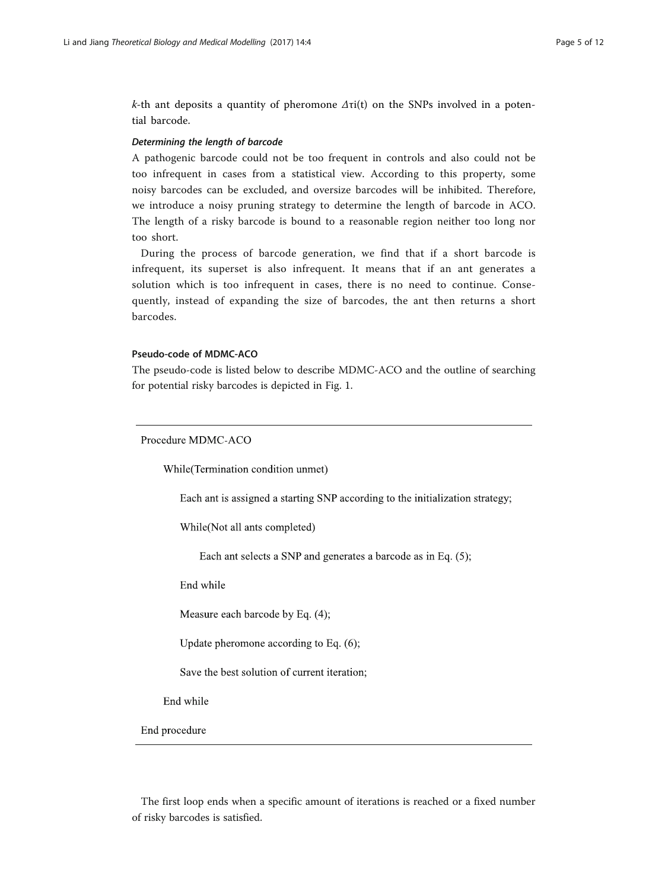k-th ant deposits a quantity of pheromone  $\Delta \tau i(t)$  on the SNPs involved in a potential barcode.

#### Determining the length of barcode

A pathogenic barcode could not be too frequent in controls and also could not be too infrequent in cases from a statistical view. According to this property, some noisy barcodes can be excluded, and oversize barcodes will be inhibited. Therefore, we introduce a noisy pruning strategy to determine the length of barcode in ACO. The length of a risky barcode is bound to a reasonable region neither too long nor too short.

During the process of barcode generation, we find that if a short barcode is infrequent, its superset is also infrequent. It means that if an ant generates a solution which is too infrequent in cases, there is no need to continue. Consequently, instead of expanding the size of barcodes, the ant then returns a short barcodes.

#### Pseudo-code of MDMC-ACO

The pseudo-code is listed below to describe MDMC-ACO and the outline of searching for potential risky barcodes is depicted in Fig. [1.](#page-5-0)

Procedure MDMC-ACO

While(Termination condition unmet)

Each ant is assigned a starting SNP according to the initialization strategy;

While (Not all ants completed)

Each ant selects a SNP and generates a barcode as in Eq. (5);

End while

Measure each barcode by Eq. (4);

Update pheromone according to Eq. (6);

Save the best solution of current iteration;

End while

End procedure

The first loop ends when a specific amount of iterations is reached or a fixed number of risky barcodes is satisfied.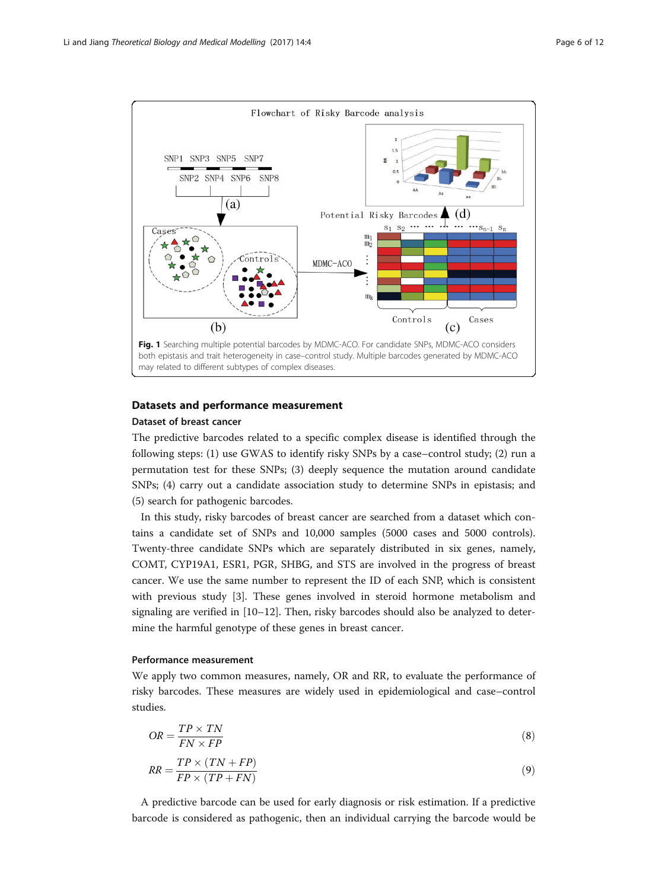<span id="page-5-0"></span>

## Datasets and performance measurement

#### Dataset of breast cancer

The predictive barcodes related to a specific complex disease is identified through the following steps: (1) use GWAS to identify risky SNPs by a case–control study; (2) run a permutation test for these SNPs; (3) deeply sequence the mutation around candidate SNPs; (4) carry out a candidate association study to determine SNPs in epistasis; and (5) search for pathogenic barcodes.

In this study, risky barcodes of breast cancer are searched from a dataset which contains a candidate set of SNPs and 10,000 samples (5000 cases and 5000 controls). Twenty-three candidate SNPs which are separately distributed in six genes, namely, COMT, CYP19A1, ESR1, PGR, SHBG, and STS are involved in the progress of breast cancer. We use the same number to represent the ID of each SNP, which is consistent with previous study [\[3](#page-11-0)]. These genes involved in steroid hormone metabolism and signaling are verified in [[10](#page-11-0)–[12](#page-11-0)]. Then, risky barcodes should also be analyzed to determine the harmful genotype of these genes in breast cancer.

#### Performance measurement

We apply two common measures, namely, OR and RR, to evaluate the performance of risky barcodes. These measures are widely used in epidemiological and case–control studies.

$$
OR = \frac{TP \times TN}{FN \times FP}
$$
\n<sup>(8)</sup>

$$
RR = \frac{TP \times (TN + FP)}{FP \times (TP + FN)}
$$
\n(9)

A predictive barcode can be used for early diagnosis or risk estimation. If a predictive barcode is considered as pathogenic, then an individual carrying the barcode would be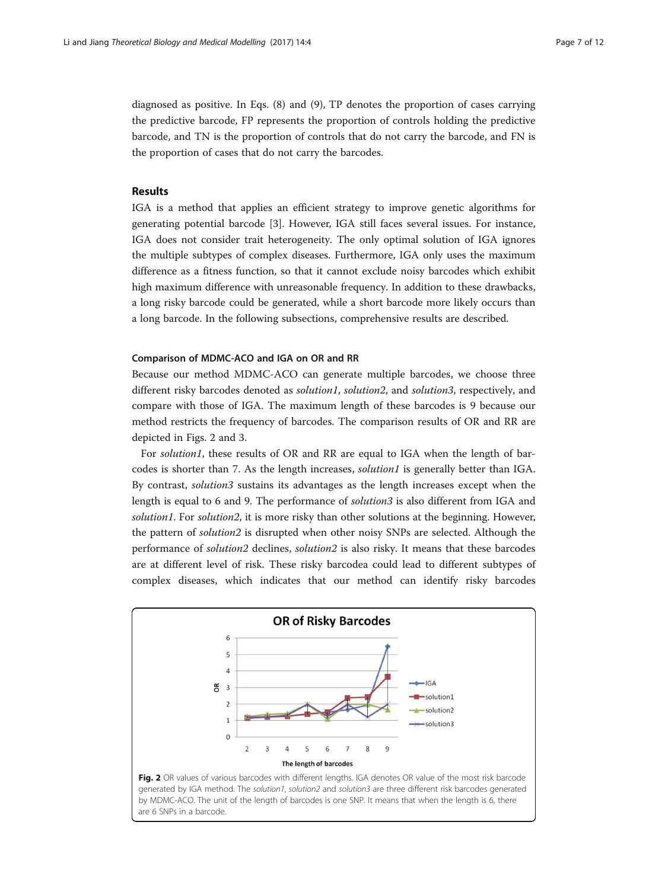diagnosed as positive. In Eqs. ([8](#page-5-0)) and [\(9\)](#page-5-0), TP denotes the proportion of cases carrying the predictive barcode, FP represents the proportion of controls holding the predictive barcode, and TN is the proportion of controls that do not carry the barcode, and FN is the proportion of cases that do not carry the barcodes.

#### Results

IGA is a method that applies an efficient strategy to improve genetic algorithms for generating potential barcode [\[3](#page-11-0)]. However, IGA still faces several issues. For instance, IGA does not consider trait heterogeneity. The only optimal solution of IGA ignores the multiple subtypes of complex diseases. Furthermore, IGA only uses the maximum difference as a fitness function, so that it cannot exclude noisy barcodes which exhibit high maximum difference with unreasonable frequency. In addition to these drawbacks, a long risky barcode could be generated, while a short barcode more likely occurs than a long barcode. In the following subsections, comprehensive results are described.

#### Comparison of MDMC-ACO and IGA on OR and RR

Because our method MDMC-ACO can generate multiple barcodes, we choose three different risky barcodes denoted as *solution1*, solution2, and solution3, respectively, and compare with those of IGA. The maximum length of these barcodes is 9 because our method restricts the frequency of barcodes. The comparison results of OR and RR are depicted in Figs. 2 and [3](#page-7-0).

For solution1, these results of OR and RR are equal to IGA when the length of barcodes is shorter than 7. As the length increases, *solution1* is generally better than IGA. By contrast, solution3 sustains its advantages as the length increases except when the length is equal to 6 and 9. The performance of solution3 is also different from IGA and solution1. For solution2, it is more risky than other solutions at the beginning. However, the pattern of solution2 is disrupted when other noisy SNPs are selected. Although the performance of solution2 declines, solution2 is also risky. It means that these barcodes are at different level of risk. These risky barcodea could lead to different subtypes of complex diseases, which indicates that our method can identify risky barcodes

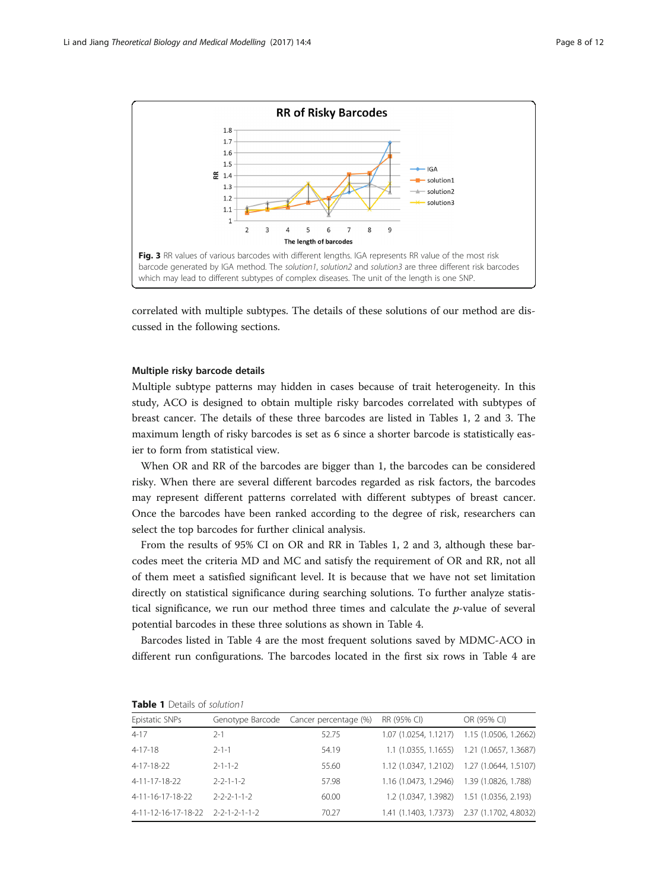<span id="page-7-0"></span>

correlated with multiple subtypes. The details of these solutions of our method are discussed in the following sections.

#### Multiple risky barcode details

Multiple subtype patterns may hidden in cases because of trait heterogeneity. In this study, ACO is designed to obtain multiple risky barcodes correlated with subtypes of breast cancer. The details of these three barcodes are listed in Tables 1, [2](#page-8-0) and [3.](#page-8-0) The maximum length of risky barcodes is set as 6 since a shorter barcode is statistically easier to form from statistical view.

When OR and RR of the barcodes are bigger than 1, the barcodes can be considered risky. When there are several different barcodes regarded as risk factors, the barcodes may represent different patterns correlated with different subtypes of breast cancer. Once the barcodes have been ranked according to the degree of risk, researchers can select the top barcodes for further clinical analysis.

From the results of 95% CI on OR and RR in Tables 1, [2](#page-8-0) and [3](#page-8-0), although these barcodes meet the criteria MD and MC and satisfy the requirement of OR and RR, not all of them meet a satisfied significant level. It is because that we have not set limitation directly on statistical significance during searching solutions. To further analyze statistical significance, we run our method three times and calculate the  $p$ -value of several potential barcodes in these three solutions as shown in Table [4.](#page-9-0)

Barcodes listed in Table [4](#page-9-0) are the most frequent solutions saved by MDMC-ACO in different run configurations. The barcodes located in the first six rows in Table [4](#page-9-0) are

| Epistatic SNPs                    |                         | Genotype Barcode Cancer percentage (%) | RR (95% CI)                                 | OR (95% CI)                                |
|-----------------------------------|-------------------------|----------------------------------------|---------------------------------------------|--------------------------------------------|
| $4 - 17$                          | 2-1                     | 52.75                                  | 1.07 (1.0254, 1.1217) 1.15 (1.0506, 1.2662) |                                            |
| 4-17-18                           | $2 - 1 - 1$             | 54.19                                  |                                             | 1.1 (1.0355, 1.1655) 1.21 (1.0657, 1.3687) |
| 4-17-18-22                        | $2 - 1 - 1 - 2$         | 55.60                                  | 1.12 (1.0347, 1.2102) 1.27 (1.0644, 1.5107) |                                            |
| 4-11-17-18-22                     | $2 - 2 - 1 - 1 - 2$     | 57.98                                  | 1.16 (1.0473, 1.2946) 1.39 (1.0826, 1.788)  |                                            |
| 4-11-16-17-18-22                  | $2 - 2 - 2 - 1 - 1 - 2$ | 60.00                                  |                                             | 1.2 (1.0347, 1.3982) 1.51 (1.0356, 2.193)  |
| 4-11-12-16-17-18-22 2-2-1-2-1-1-2 |                         | 70.27                                  | 1.41 (1.1403, 1.7373) 2.37 (1.1702, 4.8032) |                                            |

Table 1 Details of solution1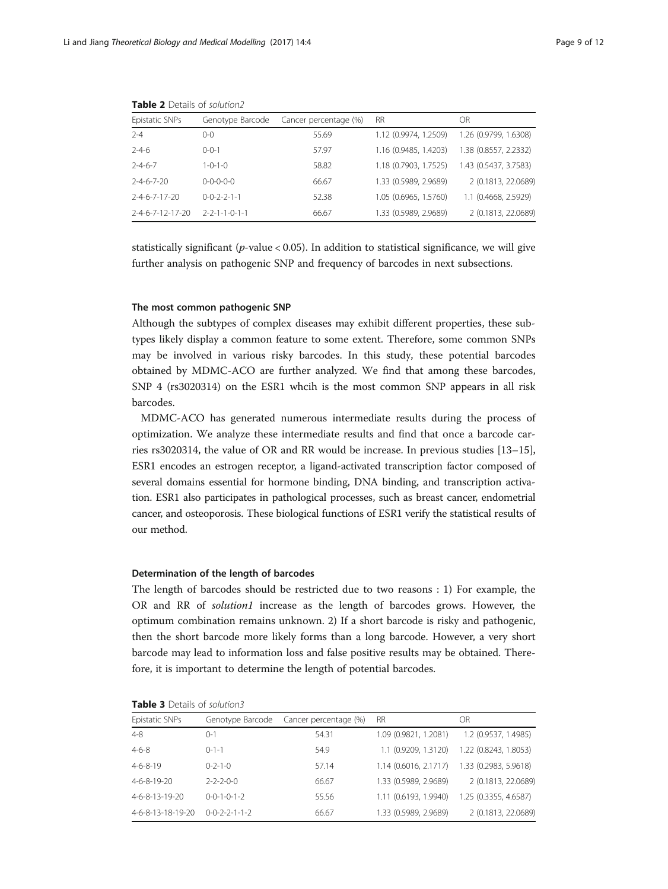| Epistatic SNPs                 | Genotype Barcode            | Cancer percentage (%) | RR.                   | OR                    |
|--------------------------------|-----------------------------|-----------------------|-----------------------|-----------------------|
| $2 - 4$                        | 0-0                         | 55.69                 | 1.12 (0.9974, 1.2509) | 1.26 (0.9799, 1.6308) |
| $2 - 4 - 6$                    | $() - () - 1$               | 57.97                 | 1.16 (0.9485, 1.4203) | 1.38 (0.8557, 2.2332) |
| $2 - 4 - 6 - 7$                | $1 - 0 - 1 - 0$             | 58.82                 | 1.18 (0.7903, 1.7525) | 1.43 (0.5437, 3.7583) |
| $2 - 4 - 6 - 7 - 20$           | $0 - 0 - 0 - 0 - 0$         | 66.67                 | 1.33 (0.5989, 2.9689) | 2 (0.1813, 22.0689)   |
| $2 - 4 - 6 - 7 - 17 - 20$      | $0 - 0 - 2 - 2 - 1 - 1$     | 52.38                 | 1.05 (0.6965, 1.5760) | 1.1 (0.4668, 2.5929)  |
| $2 - 4 - 6 - 7 - 12 - 17 - 20$ | $2 - 2 - 1 - 1 - 0 - 1 - 1$ | 66.67                 | 1.33 (0.5989, 2.9689) | 2 (0.1813, 22.0689)   |
|                                |                             |                       |                       |                       |

<span id="page-8-0"></span>Table 2 Details of solution?

statistically significant ( $p$ -value < 0.05). In addition to statistical significance, we will give further analysis on pathogenic SNP and frequency of barcodes in next subsections.

#### The most common pathogenic SNP

Although the subtypes of complex diseases may exhibit different properties, these subtypes likely display a common feature to some extent. Therefore, some common SNPs may be involved in various risky barcodes. In this study, these potential barcodes obtained by MDMC-ACO are further analyzed. We find that among these barcodes, SNP 4 (rs3020314) on the ESR1 whcih is the most common SNP appears in all risk barcodes.

MDMC-ACO has generated numerous intermediate results during the process of optimization. We analyze these intermediate results and find that once a barcode carries rs3020314, the value of OR and RR would be increase. In previous studies [[13](#page-11-0)–[15](#page-11-0)], ESR1 encodes an estrogen receptor, a ligand-activated transcription factor composed of several domains essential for hormone binding, DNA binding, and transcription activation. ESR1 also participates in pathological processes, such as breast cancer, endometrial cancer, and osteoporosis. These biological functions of ESR1 verify the statistical results of our method.

#### Determination of the length of barcodes

The length of barcodes should be restricted due to two reasons : 1) For example, the OR and RR of solution1 increase as the length of barcodes grows. However, the optimum combination remains unknown. 2) If a short barcode is risky and pathogenic, then the short barcode more likely forms than a long barcode. However, a very short barcode may lead to information loss and false positive results may be obtained. Therefore, it is important to determine the length of potential barcodes.

| Epistatic SNPs    | Genotype Barcode            | Cancer percentage (%) | <b>RR</b>               | OR                    |
|-------------------|-----------------------------|-----------------------|-------------------------|-----------------------|
| $4 - 8$           | $O-1$                       | 54.31                 | 1.09 (0.9821, 1.2081)   | 1.2 (0.9537, 1.4985)  |
| $4 - 6 - 8$       | $0 - 1 - 1$                 | 54.9                  | 1.1 (0.9209, 1.3120)    | 1.22 (0.8243, 1.8053) |
| $4 - 6 - 8 - 19$  | $0 - 2 - 1 - 0$             | 57.14                 | $1.14$ (0.6016, 2.1717) | 1.33 (0.2983, 5.9618) |
| 4-6-8-19-20       | $2 - 2 - 2 - 0 - 0$         | 66.67                 | 1.33 (0.5989, 2.9689)   | 2 (0.1813, 22.0689)   |
| $4-6-8-13-19-20$  | $0 - 0 - 1 - 0 - 1 - 2$     | 55.56                 | 1.11 (0.6193, 1.9940)   | 1.25 (0.3355, 4.6587) |
| 4-6-8-13-18-19-20 | $0 - 0 - 2 - 2 - 1 - 1 - 2$ | 66.67                 | 1.33 (0.5989, 2.9689)   | 2 (0.1813, 22.0689)   |

Table 3 Details of solution3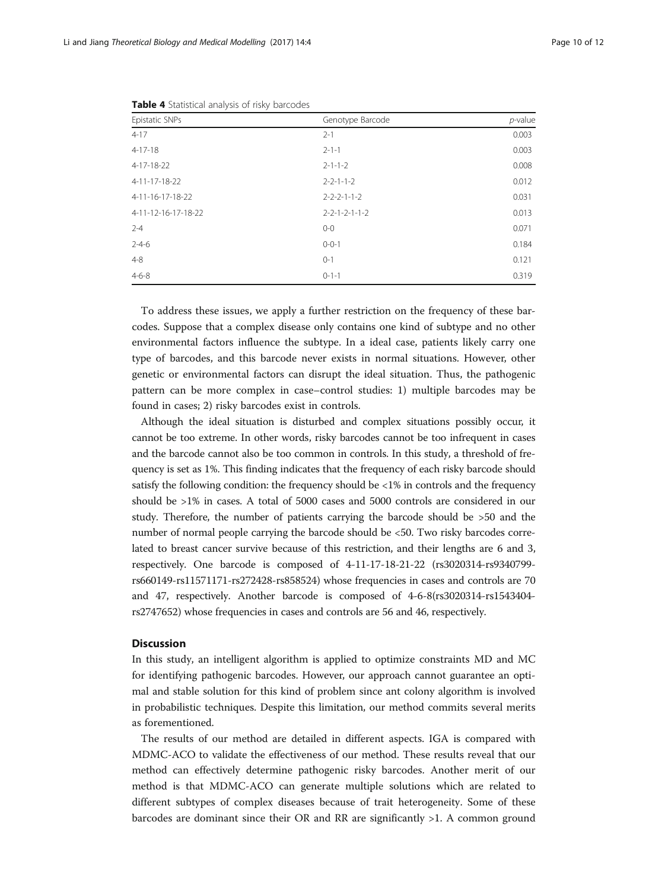| Epistatic SNPs      | Genotype Barcode            | $p$ -value |
|---------------------|-----------------------------|------------|
| $4 - 17$            | $2 - 1$                     | 0.003      |
| $4 - 17 - 18$       | $2 - 1 - 1$                 | 0.003      |
| 4-17-18-22          | $2 - 1 - 1 - 2$             | 0.008      |
| 4-11-17-18-22       | $2 - 2 - 1 - 1 - 2$         | 0.012      |
| 4-11-16-17-18-22    | $2 - 2 - 2 - 1 - 1 - 2$     | 0.031      |
| 4-11-12-16-17-18-22 | $2 - 2 - 1 - 2 - 1 - 1 - 2$ | 0.013      |
| $2 - 4$             | $0 - 0$                     | 0.071      |
| $2 - 4 - 6$         | $0 - 0 - 1$                 | 0.184      |
| $4 - 8$             | $0 - 1$                     | 0.121      |
| $4 - 6 - 8$         | $0 - 1 - 1$                 | 0.319      |

<span id="page-9-0"></span>Table 4 Statistical analysis of risky barcodes

To address these issues, we apply a further restriction on the frequency of these barcodes. Suppose that a complex disease only contains one kind of subtype and no other environmental factors influence the subtype. In a ideal case, patients likely carry one type of barcodes, and this barcode never exists in normal situations. However, other genetic or environmental factors can disrupt the ideal situation. Thus, the pathogenic pattern can be more complex in case–control studies: 1) multiple barcodes may be found in cases; 2) risky barcodes exist in controls.

Although the ideal situation is disturbed and complex situations possibly occur, it cannot be too extreme. In other words, risky barcodes cannot be too infrequent in cases and the barcode cannot also be too common in controls. In this study, a threshold of frequency is set as 1%. This finding indicates that the frequency of each risky barcode should satisfy the following condition: the frequency should be <1% in controls and the frequency should be >1% in cases. A total of 5000 cases and 5000 controls are considered in our study. Therefore, the number of patients carrying the barcode should be >50 and the number of normal people carrying the barcode should be <50. Two risky barcodes correlated to breast cancer survive because of this restriction, and their lengths are 6 and 3, respectively. One barcode is composed of 4-11-17-18-21-22 (rs3020314-rs9340799 rs660149-rs11571171-rs272428-rs858524) whose frequencies in cases and controls are 70 and 47, respectively. Another barcode is composed of 4-6-8(rs3020314-rs1543404 rs2747652) whose frequencies in cases and controls are 56 and 46, respectively.

#### **Discussion**

In this study, an intelligent algorithm is applied to optimize constraints MD and MC for identifying pathogenic barcodes. However, our approach cannot guarantee an optimal and stable solution for this kind of problem since ant colony algorithm is involved in probabilistic techniques. Despite this limitation, our method commits several merits as forementioned.

The results of our method are detailed in different aspects. IGA is compared with MDMC-ACO to validate the effectiveness of our method. These results reveal that our method can effectively determine pathogenic risky barcodes. Another merit of our method is that MDMC-ACO can generate multiple solutions which are related to different subtypes of complex diseases because of trait heterogeneity. Some of these barcodes are dominant since their OR and RR are significantly >1. A common ground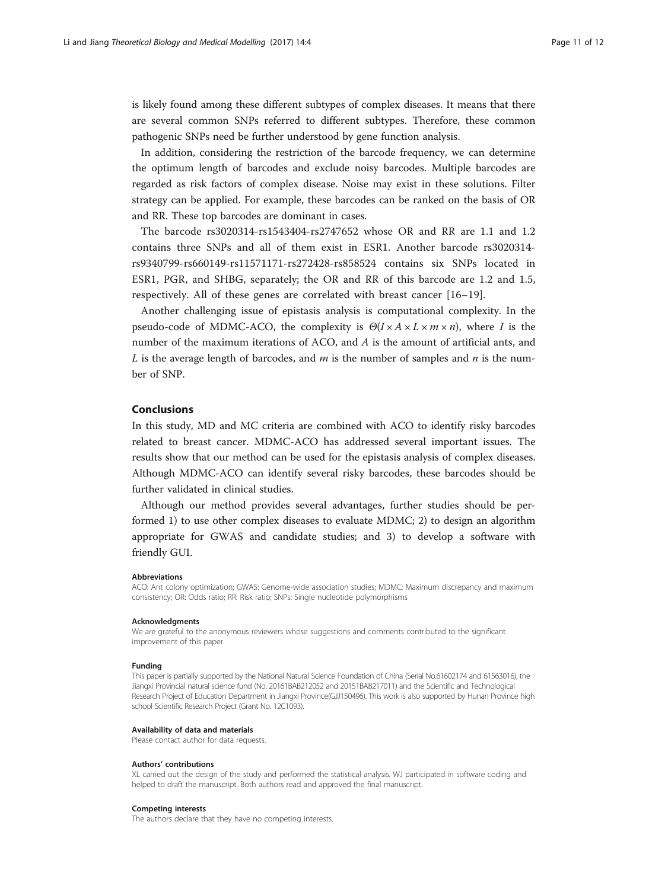is likely found among these different subtypes of complex diseases. It means that there are several common SNPs referred to different subtypes. Therefore, these common pathogenic SNPs need be further understood by gene function analysis.

In addition, considering the restriction of the barcode frequency, we can determine the optimum length of barcodes and exclude noisy barcodes. Multiple barcodes are regarded as risk factors of complex disease. Noise may exist in these solutions. Filter strategy can be applied. For example, these barcodes can be ranked on the basis of OR and RR. These top barcodes are dominant in cases.

The barcode rs3020314-rs1543404-rs2747652 whose OR and RR are 1.1 and 1.2 contains three SNPs and all of them exist in ESR1. Another barcode rs3020314 rs9340799-rs660149-rs11571171-rs272428-rs858524 contains six SNPs located in ESR1, PGR, and SHBG, separately; the OR and RR of this barcode are 1.2 and 1.5, respectively. All of these genes are correlated with breast cancer [[16](#page-11-0)–[19\]](#page-11-0).

Another challenging issue of epistasis analysis is computational complexity. In the pseudo-code of MDMC-ACO, the complexity is  $\Theta(I \times A \times L \times m \times n)$ , where I is the number of the maximum iterations of ACO, and  $A$  is the amount of artificial ants, and L is the average length of barcodes, and  $m$  is the number of samples and  $n$  is the number of SNP.

#### Conclusions

In this study, MD and MC criteria are combined with ACO to identify risky barcodes related to breast cancer. MDMC-ACO has addressed several important issues. The results show that our method can be used for the epistasis analysis of complex diseases. Although MDMC-ACO can identify several risky barcodes, these barcodes should be further validated in clinical studies.

Although our method provides several advantages, further studies should be performed 1) to use other complex diseases to evaluate MDMC; 2) to design an algorithm appropriate for GWAS and candidate studies; and 3) to develop a software with friendly GUI.

#### Abbreviations

ACO: Ant colony optimization; GWAS: Genome-wide association studies; MDMC: Maximum discrepancy and maximum consistency; OR: Odds ratio; RR: Risk ratio; SNPs: Single nucleotide polymorphisms

#### Acknowledgments

We are grateful to the anonymous reviewers whose suggestions and comments contributed to the significant improvement of this paper.

#### Funding

This paper is partially supported by the National Natural Science Foundation of China (Serial No.61602174 and 61563016), the Jiangxi Provincial natural science fund (No. 20161BAB212052 and 20151BAB217011) and the Scientific and Technological Research Project of Education Department in Jiangxi Province(GJJ150496). This work is also supported by Hunan Province high school Scientific Research Project (Grant No. 12C1093).

#### Availability of data and materials

Please contact author for data requests.

#### Authors' contributions

XL carried out the design of the study and performed the statistical analysis. WJ participated in software coding and helped to draft the manuscript. Both authors read and approved the final manuscript.

#### Competing interests

The authors declare that they have no competing interests.